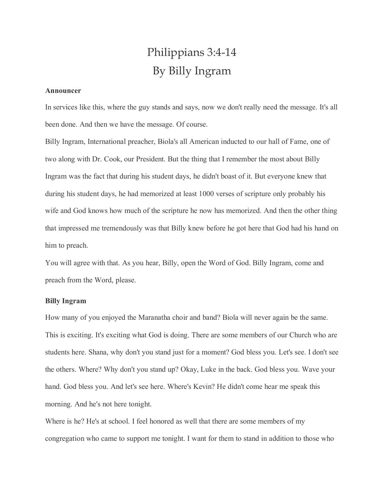## Philippians 3:4-14 By Billy Ingram

## **Announcer**

In services like this, where the guy stands and says, now we don't really need the message. It's all been done. And then we have the message. Of course.

Billy Ingram, International preacher, Biola's all American inducted to our hall of Fame, one of two along with Dr. Cook, our President. But the thing that I remember the most about Billy Ingram was the fact that during his student days, he didn't boast of it. But everyone knew that during his student days, he had memorized at least 1000 verses of scripture only probably his wife and God knows how much of the scripture he now has memorized. And then the other thing that impressed me tremendously was that Billy knew before he got here that God had his hand on him to preach.

You will agree with that. As you hear, Billy, open the Word of God. Billy Ingram, come and preach from the Word, please.

## **Billy Ingram**

How many of you enjoyed the Maranatha choir and band? Biola will never again be the same. This is exciting. It's exciting what God is doing. There are some members of our Church who are students here. Shana, why don't you stand just for a moment? God bless you. Let's see. I don't see the others. Where? Why don't you stand up? Okay, Luke in the back. God bless you. Wave your hand. God bless you. And let's see here. Where's Kevin? He didn't come hear me speak this morning. And he's not here tonight.

Where is he? He's at school. I feel honored as well that there are some members of my congregation who came to support me tonight. I want for them to stand in addition to those who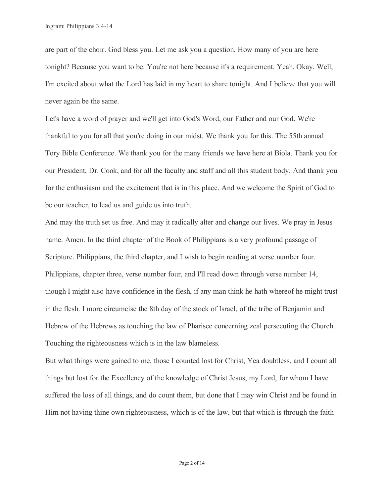are part of the choir. God bless you. Let me ask you a question. How many of you are here tonight? Because you want to be. You're not here because it's a requirement. Yeah. Okay. Well, I'm excited about what the Lord has laid in my heart to share tonight. And I believe that you will never again be the same.

Let's have a word of prayer and we'll get into God's Word, our Father and our God. We're thankful to you for all that you're doing in our midst. We thank you for this. The 55th annual Tory Bible Conference. We thank you for the many friends we have here at Biola. Thank you for our President, Dr. Cook, and for all the faculty and staff and all this student body. And thank you for the enthusiasm and the excitement that is in this place. And we welcome the Spirit of God to be our teacher, to lead us and guide us into truth.

And may the truth set us free. And may it radically alter and change our lives. We pray in Jesus name. Amen. In the third chapter of the Book of Philippians is a very profound passage of Scripture. Philippians, the third chapter, and I wish to begin reading at verse number four. Philippians, chapter three, verse number four, and I'll read down through verse number 14, though I might also have confidence in the flesh, if any man think he hath whereof he might trust in the flesh. I more circumcise the 8th day of the stock of Israel, of the tribe of Benjamin and Hebrew of the Hebrews as touching the law of Pharisee concerning zeal persecuting the Church. Touching the righteousness which is in the law blameless.

But what things were gained to me, those I counted lost for Christ, Yea doubtless, and I count all things but lost for the Excellency of the knowledge of Christ Jesus, my Lord, for whom I have suffered the loss of all things, and do count them, but done that I may win Christ and be found in Him not having thine own righteousness, which is of the law, but that which is through the faith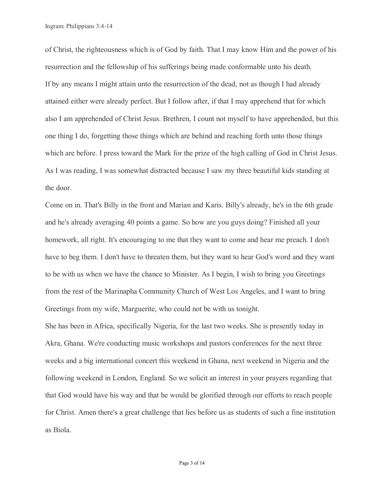of Christ, the righteousness which is of God by faith. That I may know Him and the power of his resurrection and the fellowship of his sufferings being made conformable unto his death. If by any means I might attain unto the resurrection of the dead, not as though I had already attained either were already perfect. But I follow after, if that I may apprehend that for which also I am apprehended of Christ Jesus. Brethren, I count not myself to have apprehended, but this one thing I do, forgetting those things which are behind and reaching forth unto those things which are before. I press toward the Mark for the prize of the high calling of God in Christ Jesus. As I was reading, I was somewhat distracted because I saw my three beautiful kids standing at the door.

Come on in. That's Billy in the front and Marian and Karis. Billy's already, he's in the 6th grade and he's already averaging 40 points a game. So how are you guys doing? Finished all your homework, all right. It's encouraging to me that they want to come and hear me preach. I don't have to beg them. I don't have to threaten them, but they want to hear God's word and they want to be with us when we have the chance to Minister. As I begin, I wish to bring you Greetings from the rest of the Marinapha Community Church of West Los Angeles, and I want to bring Greetings from my wife, Marguerite, who could not be with us tonight.

She has been in Africa, specifically Nigeria, for the last two weeks. She is presently today in Akra, Ghana. We're conducting music workshops and pastors conferences for the next three weeks and a big international concert this weekend in Ghana, next weekend in Nigeria and the following weekend in London, England. So we solicit an interest in your prayers regarding that that God would have his way and that he would be glorified through our efforts to reach people for Christ. Amen there's a great challenge that lies before us as students of such a fine institution as Biola.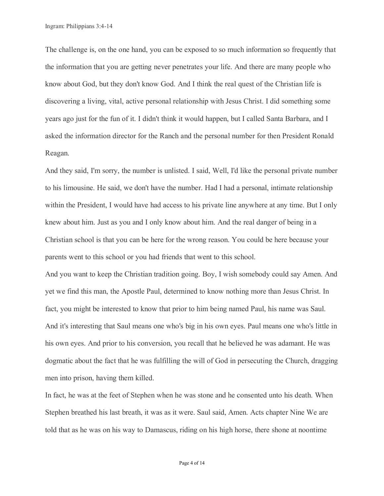The challenge is, on the one hand, you can be exposed to so much information so frequently that the information that you are getting never penetrates your life. And there are many people who know about God, but they don't know God. And I think the real quest of the Christian life is discovering a living, vital, active personal relationship with Jesus Christ. I did something some years ago just for the fun of it. I didn't think it would happen, but I called Santa Barbara, and I asked the information director for the Ranch and the personal number for then President Ronald Reagan.

And they said, I'm sorry, the number is unlisted. I said, Well, I'd like the personal private number to his limousine. He said, we don't have the number. Had I had a personal, intimate relationship within the President, I would have had access to his private line anywhere at any time. But I only knew about him. Just as you and I only know about him. And the real danger of being in a Christian school is that you can be here for the wrong reason. You could be here because your parents went to this school or you had friends that went to this school.

And you want to keep the Christian tradition going. Boy, I wish somebody could say Amen. And yet we find this man, the Apostle Paul, determined to know nothing more than Jesus Christ. In fact, you might be interested to know that prior to him being named Paul, his name was Saul. And it's interesting that Saul means one who's big in his own eyes. Paul means one who's little in his own eyes. And prior to his conversion, you recall that he believed he was adamant. He was dogmatic about the fact that he was fulfilling the will of God in persecuting the Church, dragging men into prison, having them killed.

In fact, he was at the feet of Stephen when he was stone and he consented unto his death. When Stephen breathed his last breath, it was as it were. Saul said, Amen. Acts chapter Nine We are told that as he was on his way to Damascus, riding on his high horse, there shone at noontime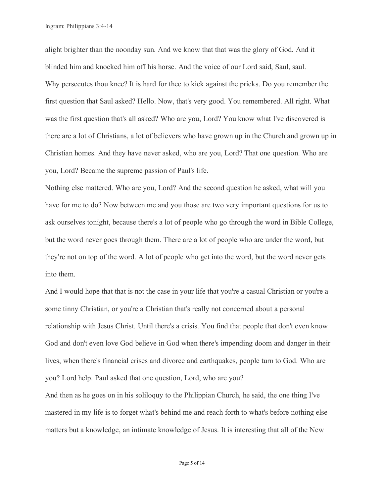alight brighter than the noonday sun. And we know that that was the glory of God. And it blinded him and knocked him off his horse. And the voice of our Lord said, Saul, saul. Why persecutes thou knee? It is hard for thee to kick against the pricks. Do you remember the first question that Saul asked? Hello. Now, that's very good. You remembered. All right. What was the first question that's all asked? Who are you, Lord? You know what I've discovered is there are a lot of Christians, a lot of believers who have grown up in the Church and grown up in Christian homes. And they have never asked, who are you, Lord? That one question. Who are you, Lord? Became the supreme passion of Paul's life.

Nothing else mattered. Who are you, Lord? And the second question he asked, what will you have for me to do? Now between me and you those are two very important questions for us to ask ourselves tonight, because there's a lot of people who go through the word in Bible College, but the word never goes through them. There are a lot of people who are under the word, but they're not on top of the word. A lot of people who get into the word, but the word never gets into them.

And I would hope that that is not the case in your life that you're a casual Christian or you're a some tinny Christian, or you're a Christian that's really not concerned about a personal relationship with Jesus Christ. Until there's a crisis. You find that people that don't even know God and don't even love God believe in God when there's impending doom and danger in their lives, when there's financial crises and divorce and earthquakes, people turn to God. Who are you? Lord help. Paul asked that one question, Lord, who are you?

And then as he goes on in his soliloquy to the Philippian Church, he said, the one thing I've mastered in my life is to forget what's behind me and reach forth to what's before nothing else matters but a knowledge, an intimate knowledge of Jesus. It is interesting that all of the New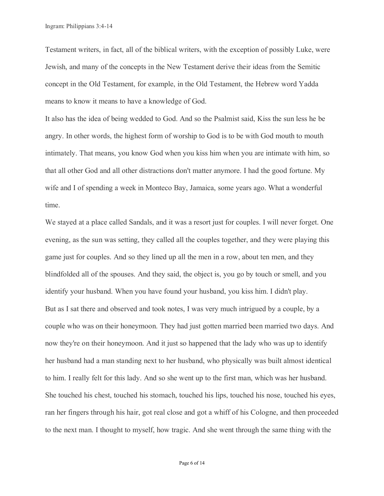Testament writers, in fact, all of the biblical writers, with the exception of possibly Luke, were Jewish, and many of the concepts in the New Testament derive their ideas from the Semitic concept in the Old Testament, for example, in the Old Testament, the Hebrew word Yadda means to know it means to have a knowledge of God.

It also has the idea of being wedded to God. And so the Psalmist said, Kiss the sun less he be angry. In other words, the highest form of worship to God is to be with God mouth to mouth intimately. That means, you know God when you kiss him when you are intimate with him, so that all other God and all other distractions don't matter anymore. I had the good fortune. My wife and I of spending a week in Monteco Bay, Jamaica, some years ago. What a wonderful time.

We stayed at a place called Sandals, and it was a resort just for couples. I will never forget. One evening, as the sun was setting, they called all the couples together, and they were playing this game just for couples. And so they lined up all the men in a row, about ten men, and they blindfolded all of the spouses. And they said, the object is, you go by touch or smell, and you identify your husband. When you have found your husband, you kiss him. I didn't play. But as I sat there and observed and took notes, I was very much intrigued by a couple, by a couple who was on their honeymoon. They had just gotten married been married two days. And now they're on their honeymoon. And it just so happened that the lady who was up to identify her husband had a man standing next to her husband, who physically was built almost identical to him. I really felt for this lady. And so she went up to the first man, which was her husband. She touched his chest, touched his stomach, touched his lips, touched his nose, touched his eyes, ran her fingers through his hair, got real close and got a whiff of his Cologne, and then proceeded to the next man. I thought to myself, how tragic. And she went through the same thing with the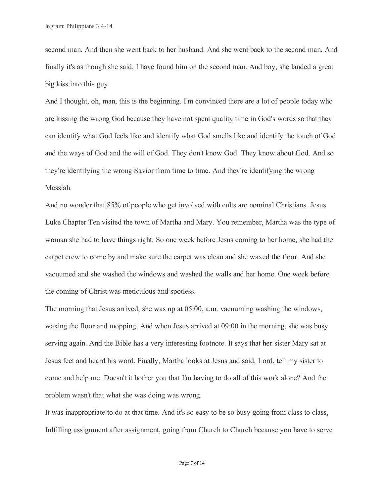second man. And then she went back to her husband. And she went back to the second man. And finally it's as though she said, I have found him on the second man. And boy, she landed a great big kiss into this guy.

And I thought, oh, man, this is the beginning. I'm convinced there are a lot of people today who are kissing the wrong God because they have not spent quality time in God's words so that they can identify what God feels like and identify what God smells like and identify the touch of God and the ways of God and the will of God. They don't know God. They know about God. And so they're identifying the wrong Savior from time to time. And they're identifying the wrong Messiah.

And no wonder that 85% of people who get involved with cults are nominal Christians. Jesus Luke Chapter Ten visited the town of Martha and Mary. You remember, Martha was the type of woman she had to have things right. So one week before Jesus coming to her home, she had the carpet crew to come by and make sure the carpet was clean and she waxed the floor. And she vacuumed and she washed the windows and washed the walls and her home. One week before the coming of Christ was meticulous and spotless.

The morning that Jesus arrived, she was up at 05:00, a.m. vacuuming washing the windows, waxing the floor and mopping. And when Jesus arrived at 09:00 in the morning, she was busy serving again. And the Bible has a very interesting footnote. It says that her sister Mary sat at Jesus feet and heard his word. Finally, Martha looks at Jesus and said, Lord, tell my sister to come and help me. Doesn't it bother you that I'm having to do all of this work alone? And the problem wasn't that what she was doing was wrong.

It was inappropriate to do at that time. And it's so easy to be so busy going from class to class, fulfilling assignment after assignment, going from Church to Church because you have to serve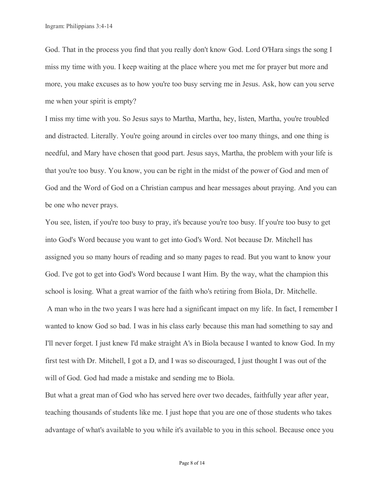God. That in the process you find that you really don't know God. Lord O'Hara sings the song I miss my time with you. I keep waiting at the place where you met me for prayer but more and more, you make excuses as to how you're too busy serving me in Jesus. Ask, how can you serve me when your spirit is empty?

I miss my time with you. So Jesus says to Martha, Martha, hey, listen, Martha, you're troubled and distracted. Literally. You're going around in circles over too many things, and one thing is needful, and Mary have chosen that good part. Jesus says, Martha, the problem with your life is that you're too busy. You know, you can be right in the midst of the power of God and men of God and the Word of God on a Christian campus and hear messages about praying. And you can be one who never prays.

You see, listen, if you're too busy to pray, it's because you're too busy. If you're too busy to get into God's Word because you want to get into God's Word. Not because Dr. Mitchell has assigned you so many hours of reading and so many pages to read. But you want to know your God. I've got to get into God's Word because I want Him. By the way, what the champion this school is losing. What a great warrior of the faith who's retiring from Biola, Dr. Mitchelle. A man who in the two years I was here had a significant impact on my life. In fact, I remember I wanted to know God so bad. I was in his class early because this man had something to say and I'll never forget. I just knew I'd make straight A's in Biola because I wanted to know God. In my first test with Dr. Mitchell, I got a D, and I was so discouraged, I just thought I was out of the will of God. God had made a mistake and sending me to Biola.

But what a great man of God who has served here over two decades, faithfully year after year, teaching thousands of students like me. I just hope that you are one of those students who takes advantage of what's available to you while it's available to you in this school. Because once you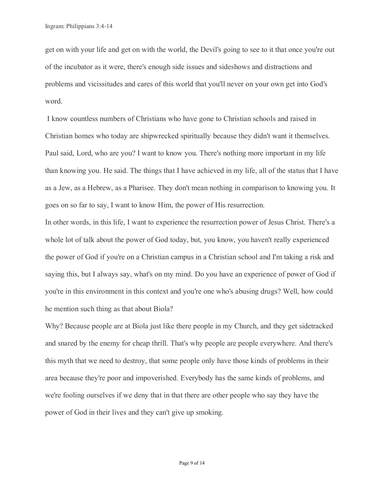get on with your life and get on with the world, the Devil's going to see to it that once you're out of the incubator as it were, there's enough side issues and sideshows and distractions and problems and vicissitudes and cares of this world that you'll never on your own get into God's word.

I know countless numbers of Christians who have gone to Christian schools and raised in Christian homes who today are shipwrecked spiritually because they didn't want it themselves. Paul said, Lord, who are you? I want to know you. There's nothing more important in my life than knowing you. He said. The things that I have achieved in my life, all of the status that I have as a Jew, as a Hebrew, as a Pharisee. They don't mean nothing in comparison to knowing you. It goes on so far to say, I want to know Him, the power of His resurrection.

In other words, in this life, I want to experience the resurrection power of Jesus Christ. There's a whole lot of talk about the power of God today, but, you know, you haven't really experienced the power of God if you're on a Christian campus in a Christian school and I'm taking a risk and saying this, but I always say, what's on my mind. Do you have an experience of power of God if you're in this environment in this context and you're one who's abusing drugs? Well, how could he mention such thing as that about Biola?

Why? Because people are at Biola just like there people in my Church, and they get sidetracked and snared by the enemy for cheap thrill. That's why people are people everywhere. And there's this myth that we need to destroy, that some people only have those kinds of problems in their area because they're poor and impoverished. Everybody has the same kinds of problems, and we're fooling ourselves if we deny that in that there are other people who say they have the power of God in their lives and they can't give up smoking.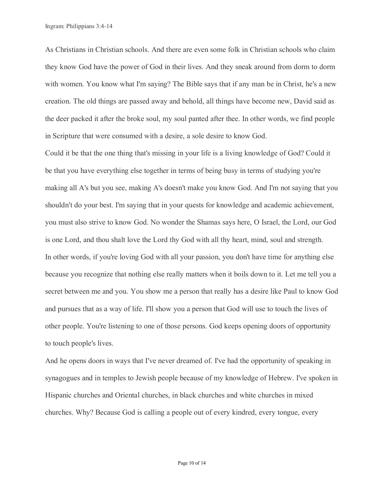As Christians in Christian schools. And there are even some folk in Christian schools who claim they know God have the power of God in their lives. And they sneak around from dorm to dorm with women. You know what I'm saying? The Bible says that if any man be in Christ, he's a new creation. The old things are passed away and behold, all things have become new, David said as the deer packed it after the broke soul, my soul panted after thee. In other words, we find people in Scripture that were consumed with a desire, a sole desire to know God.

Could it be that the one thing that's missing in your life is a living knowledge of God? Could it be that you have everything else together in terms of being busy in terms of studying you're making all A's but you see, making A's doesn't make you know God. And I'm not saying that you shouldn't do your best. I'm saying that in your quests for knowledge and academic achievement, you must also strive to know God. No wonder the Shamas says here, O Israel, the Lord, our God is one Lord, and thou shalt love the Lord thy God with all thy heart, mind, soul and strength. In other words, if you're loving God with all your passion, you don't have time for anything else because you recognize that nothing else really matters when it boils down to it. Let me tell you a secret between me and you. You show me a person that really has a desire like Paul to know God and pursues that as a way of life. I'll show you a person that God will use to touch the lives of other people. You're listening to one of those persons. God keeps opening doors of opportunity to touch people's lives.

And he opens doors in ways that I've never dreamed of. I've had the opportunity of speaking in synagogues and in temples to Jewish people because of my knowledge of Hebrew. I've spoken in Hispanic churches and Oriental churches, in black churches and white churches in mixed churches. Why? Because God is calling a people out of every kindred, every tongue, every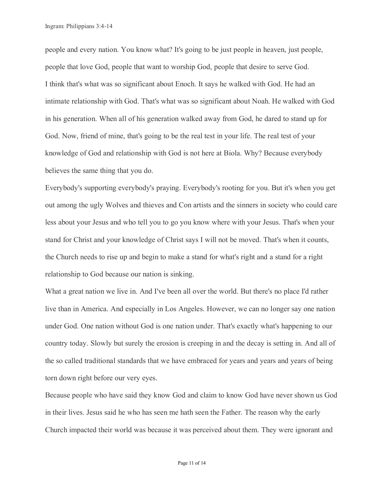people and every nation. You know what? It's going to be just people in heaven, just people, people that love God, people that want to worship God, people that desire to serve God. I think that's what was so significant about Enoch. It says he walked with God. He had an intimate relationship with God. That's what was so significant about Noah. He walked with God in his generation. When all of his generation walked away from God, he dared to stand up for God. Now, friend of mine, that's going to be the real test in your life. The real test of your knowledge of God and relationship with God is not here at Biola. Why? Because everybody believes the same thing that you do.

Everybody's supporting everybody's praying. Everybody's rooting for you. But it's when you get out among the ugly Wolves and thieves and Con artists and the sinners in society who could care less about your Jesus and who tell you to go you know where with your Jesus. That's when your stand for Christ and your knowledge of Christ says I will not be moved. That's when it counts, the Church needs to rise up and begin to make a stand for what's right and a stand for a right relationship to God because our nation is sinking.

What a great nation we live in. And I've been all over the world. But there's no place I'd rather live than in America. And especially in Los Angeles. However, we can no longer say one nation under God. One nation without God is one nation under. That's exactly what's happening to our country today. Slowly but surely the erosion is creeping in and the decay is setting in. And all of the so called traditional standards that we have embraced for years and years and years of being torn down right before our very eyes.

Because people who have said they know God and claim to know God have never shown us God in their lives. Jesus said he who has seen me hath seen the Father. The reason why the early Church impacted their world was because it was perceived about them. They were ignorant and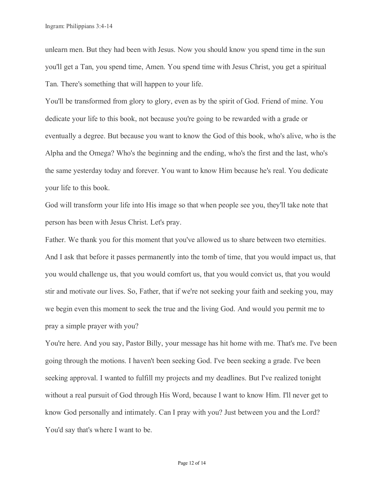unlearn men. But they had been with Jesus. Now you should know you spend time in the sun you'll get a Tan, you spend time, Amen. You spend time with Jesus Christ, you get a spiritual Tan. There's something that will happen to your life.

You'll be transformed from glory to glory, even as by the spirit of God. Friend of mine. You dedicate your life to this book, not because you're going to be rewarded with a grade or eventually a degree. But because you want to know the God of this book, who's alive, who is the Alpha and the Omega? Who's the beginning and the ending, who's the first and the last, who's the same yesterday today and forever. You want to know Him because he's real. You dedicate your life to this book.

God will transform your life into His image so that when people see you, they'll take note that person has been with Jesus Christ. Let's pray.

Father. We thank you for this moment that you've allowed us to share between two eternities. And I ask that before it passes permanently into the tomb of time, that you would impact us, that you would challenge us, that you would comfort us, that you would convict us, that you would stir and motivate our lives. So, Father, that if we're not seeking your faith and seeking you, may we begin even this moment to seek the true and the living God. And would you permit me to pray a simple prayer with you?

You're here. And you say, Pastor Billy, your message has hit home with me. That's me. I've been going through the motions. I haven't been seeking God. I've been seeking a grade. I've been seeking approval. I wanted to fulfill my projects and my deadlines. But I've realized tonight without a real pursuit of God through His Word, because I want to know Him. I'll never get to know God personally and intimately. Can I pray with you? Just between you and the Lord? You'd say that's where I want to be.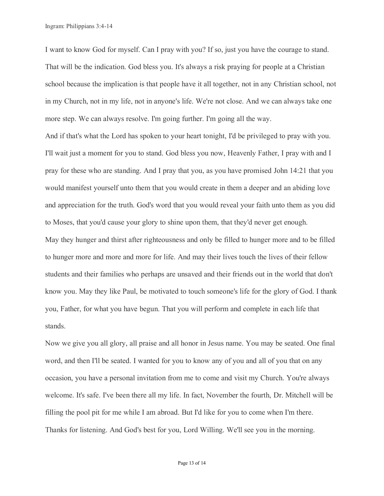I want to know God for myself. Can I pray with you? If so, just you have the courage to stand. That will be the indication. God bless you. It's always a risk praying for people at a Christian school because the implication is that people have it all together, not in any Christian school, not in my Church, not in my life, not in anyone's life. We're not close. And we can always take one more step. We can always resolve. I'm going further. I'm going all the way.

And if that's what the Lord has spoken to your heart tonight, I'd be privileged to pray with you. I'll wait just a moment for you to stand. God bless you now, Heavenly Father, I pray with and I pray for these who are standing. And I pray that you, as you have promised John 14:21 that you would manifest yourself unto them that you would create in them a deeper and an abiding love and appreciation for the truth. God's word that you would reveal your faith unto them as you did to Moses, that you'd cause your glory to shine upon them, that they'd never get enough. May they hunger and thirst after righteousness and only be filled to hunger more and to be filled to hunger more and more and more for life. And may their lives touch the lives of their fellow students and their families who perhaps are unsaved and their friends out in the world that don't know you. May they like Paul, be motivated to touch someone's life for the glory of God. I thank you, Father, for what you have begun. That you will perform and complete in each life that stands.

Now we give you all glory, all praise and all honor in Jesus name. You may be seated. One final word, and then I'll be seated. I wanted for you to know any of you and all of you that on any occasion, you have a personal invitation from me to come and visit my Church. You're always welcome. It's safe. I've been there all my life. In fact, November the fourth, Dr. Mitchell will be filling the pool pit for me while I am abroad. But I'd like for you to come when I'm there. Thanks for listening. And God's best for you, Lord Willing. We'll see you in the morning.